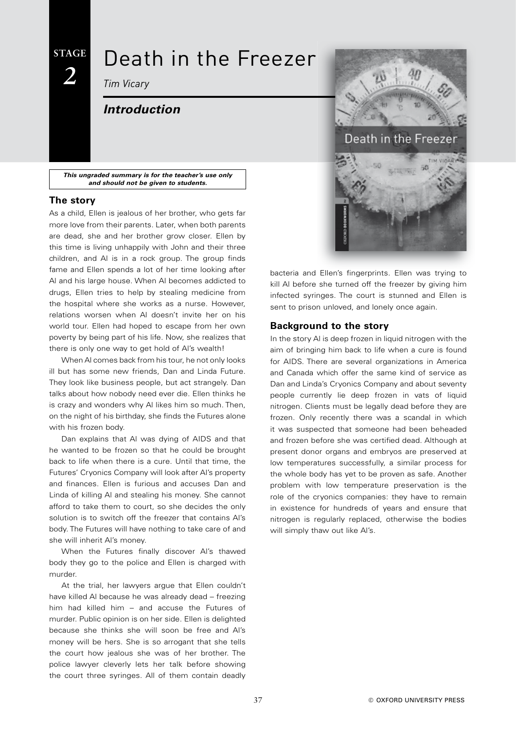## **STAGE**

*2*

## Death in the Freezer

*Tim Vicary*

## *Introduction*

*This ungraded summary is for the teacher's use only and should not be given to students.*

#### **The story**

As a child, Ellen is jealous of her brother, who gets far more love from their parents. Later, when both parents are dead, she and her brother grow closer. Ellen by this time is living unhappily with John and their three children, and Al is in a rock group. The group finds fame and Ellen spends a lot of her time looking after Al and his large house. When Al becomes addicted to drugs, Ellen tries to help by stealing medicine from the hospital where she works as a nurse. However, relations worsen when Al doesn't invite her on his world tour. Ellen had hoped to escape from her own poverty by being part of his life. Now, she realizes that there is only one way to get hold of Al's wealth!

When Al comes back from his tour, he not only looks ill but has some new friends, Dan and Linda Future. They look like business people, but act strangely. Dan talks about how nobody need ever die. Ellen thinks he is crazy and wonders why Al likes him so much. Then, on the night of his birthday, she finds the Futures alone with his frozen body.

Dan explains that Al was dying of AIDS and that he wanted to be frozen so that he could be brought back to life when there is a cure. Until that time, the Futures' Cryonics Company will look after Al's property and finances. Ellen is furious and accuses Dan and Linda of killing Al and stealing his money. She cannot afford to take them to court, so she decides the only solution is to switch off the freezer that contains Al's body. The Futures will have nothing to take care of and she will inherit Al's money.

When the Futures finally discover Al's thawed body they go to the police and Ellen is charged with murder.

At the trial, her lawyers argue that Ellen couldn't have killed Al because he was already dead – freezing him had killed him – and accuse the Futures of murder. Public opinion is on her side. Ellen is delighted because she thinks she will soon be free and Al's money will be hers. She is so arrogant that she tells the court how jealous she was of her brother. The police lawyer cleverly lets her talk before showing the court three syringes. All of them contain deadly



bacteria and Ellen's fingerprints. Ellen was trying to kill Al before she turned off the freezer by giving him infected syringes. The court is stunned and Ellen is sent to prison unloved, and lonely once again.

#### **Background to the story**

In the story Al is deep frozen in liquid nitrogen with the aim of bringing him back to life when a cure is found for AIDS. There are several organizations in America and Canada which offer the same kind of service as Dan and Linda's Cryonics Company and about seventy people currently lie deep frozen in vats of liquid nitrogen. Clients must be legally dead before they are frozen. Only recently there was a scandal in which it was suspected that someone had been beheaded and frozen before she was certified dead. Although at present donor organs and embryos are preserved at low temperatures successfully, a similar process for the whole body has yet to be proven as safe. Another problem with low temperature preservation is the role of the cryonics companies: they have to remain in existence for hundreds of years and ensure that nitrogen is regularly replaced, otherwise the bodies will simply thaw out like Al's.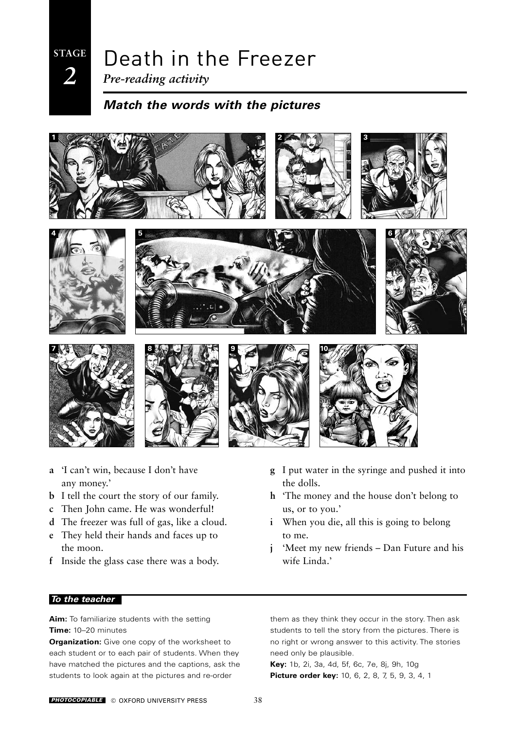# Death in the Freezer

*Pre-reading activity*

**STAGE**

*2*

## *Match the words with the pictures*



- **a** 'I can't win, because I don't have any money.'
- **b** I tell the court the story of our family.
- **c** Then John came. He was wonderful!
- **d** The freezer was full of gas, like a cloud.
- **e** They held their hands and faces up to the moon.
- **f** Inside the glass case there was a body.
- **g** I put water in the syringe and pushed it into the dolls.
- **h** 'The money and the house don't belong to us, or to you.'
- **i** When you die, all this is going to belong to me.
- **j** 'Meet my new friends Dan Future and his wife Linda.'

### *To the teacher*

**Aim:** To familiarize students with the setting **Time:** 10–20 minutes

**Organization:** Give one copy of the worksheet to each student or to each pair of students. When they have matched the pictures and the captions, ask the students to look again at the pictures and re-order

them as they think they occur in the story. Then ask students to tell the story from the pictures. There is no right or wrong answer to this activity. The stories need only be plausible.

**Key:** 1b, 2i, 3a, 4d, 5f, 6c, 7e, 8j, 9h, 10g **Picture order key:** 10, 6, 2, 8, 7, 5, 9, 3, 4, 1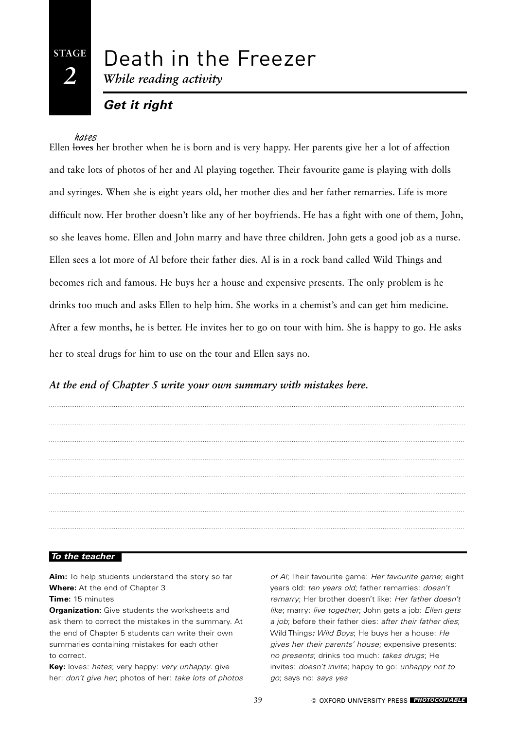## **STAGE** *2*

# Death in the Freezer

*While reading activity*

## *Get it right*

### hates

Ellen loves her brother when he is born and is very happy. Her parents give her a lot of affection and take lots of photos of her and Al playing together. Their favourite game is playing with dolls and syringes. When she is eight years old, her mother dies and her father remarries. Life is more difficult now. Her brother doesn't like any of her boyfriends. He has a fight with one of them, John, so she leaves home. Ellen and John marry and have three children. John gets a good job as a nurse. Ellen sees a lot more of Al before their father dies. Al is in a rock band called Wild Things and becomes rich and famous. He buys her a house and expensive presents. The only problem is he drinks too much and asks Ellen to help him. She works in a chemist's and can get him medicine. After a few months, he is better. He invites her to go on tour with him. She is happy to go. He asks her to steal drugs for him to use on the tour and Ellen says no.

## *At the end of Chapter 5 write your own summary with mistakes here.*



### *To the teacher*

**Aim:** To help students understand the story so far **Where:** At the end of Chapter 3

#### **Time:** 15 minutes

**Organization:** Give students the worksheets and ask them to correct the mistakes in the summary. At the end of Chapter 5 students can write their own summaries containing mistakes for each other to correct.

**Key:** loves: *hates*; very happy: *very unhappy*. give her: *don't give her*; photos of her: *take lots of photos*  *of Al*; Their favourite game: *Her favourite game*; eight years old: *ten years old*; father remarries: *doesn't remarry*; Her brother doesn't like: *Her father doesn't like*; marry: *live together*; John gets a job: *Ellen gets a job*; before their father dies: *after their father dies*; Wild Things*: Wild Boys*; He buys her a house: *He gives her their parents' house*; expensive presents: *no presents*; drinks too much: *takes drugs*; He invites: *doesn't invite*; happy to go: *unhappy not to go*; says no: *says yes*